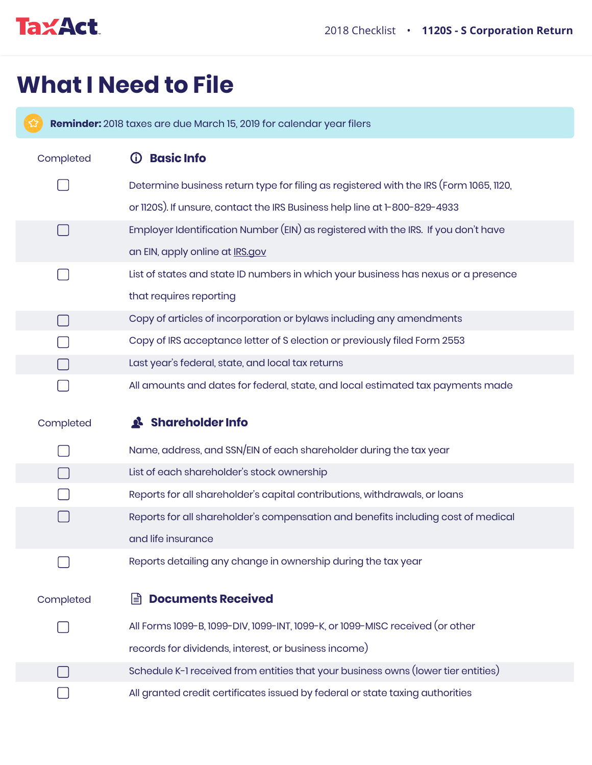

## **What I Need to File**

**Reminder:** 2018 taxes are due March 15, 2019 for calendar year filers

Completed **(i) Basic Info** Determine business return type for filing as registered with the IRS (Form 1065, 1120, or 1120S). If unsure, contact the IRS Business help line at 1-800-829-4933 Employer Identification Number (EIN) as registered with the IRS. If you don't have  $\Box$ an EIN, apply online at **IRS.gov**  $\Box$ List of states and state ID numbers in which your business has nexus or a presence that requires reporting Copy of articles of incorporation or bylaws including any amendments  $\Box$ Copy of IRS acceptance letter of S election or previously filed Form 2553 Last year's federal, state, and local tax returns H All amounts and dates for federal, state, and local estimated tax payments made Completed **Shareholder Info** Name, address, and SSN/EIN of each shareholder during the tax year List of each shareholder's stock ownership  $\Box$ Reports for all shareholder's capital contributions, withdrawals, or loans  $\mathbf{I}$  $\Box$ Reports for all shareholder's compensation and benefits including cost of medical and life insurance Reports detailing any change in ownership during the tax year  $\Box$ Completed **Documents Received** All Forms 1099-B, 1099-DIV, 1099-INT, 1099-K, or 1099-MISC received (or other  $\Box$ records for dividends, interest, or business income) Schedule K-1 received from entities that your business owns (lower tier entities)  $\Box$ All granted credit certificates issued by federal or state taxing authorities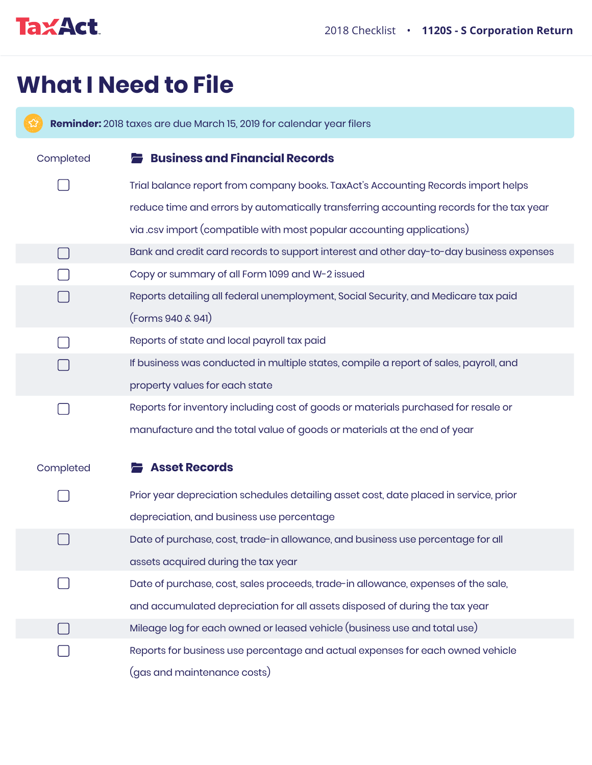

## **What I Need to File**

**Reminder:** 2018 taxes are due March 15, 2019 for calendar year filers **Business and Financial Records** Completed Trial balance report from company books. TaxAct's Accounting Records import helps reduce time and errors by automatically transferring accounting records for the tax year via .csv import (compatible with most popular accounting applications)  $\Box$ Bank and credit card records to support interest and other day-to-day business expenses Copy or summary of all Form 1099 and W-2 issued Reports detailing all federal unemployment, Social Security, and Medicare tax paid (Forms 940 & 941) Reports of state and local payroll tax paid If business was conducted in multiple states, compile a report of sales, payroll, and property values for each state Reports for inventory including cost of goods or materials purchased for resale or manufacture and the total value of goods or materials at the end of year Completed **Asset Records** Prior year depreciation schedules detailing asset cost, date placed in service, prior depreciation, and business use percentage  $\Box$ Date of purchase, cost, trade-in allowance, and business use percentage for all assets acquired during the tax year Date of purchase, cost, sales proceeds, trade-in allowance, expenses of the sale, and accumulated depreciation for all assets disposed of during the tax year Mileage log for each owned or leased vehicle (business use and total use) Reports for business use percentage and actual expenses for each owned vehicle (gas and maintenance costs)